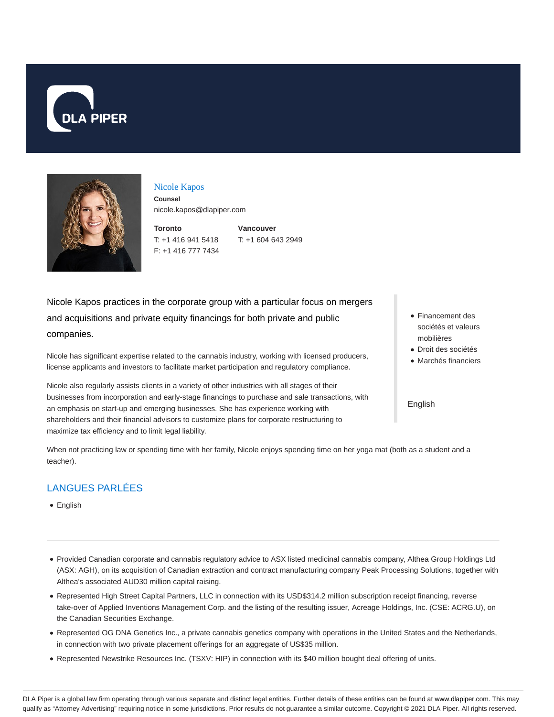



#### Nicole Kapos

**Counsel** nicole.kapos@dlapiper.com

**Toronto** T: +1 416 941 5418 F: +1 416 777 7434

**Vancouver** T: +1 604 643 2949

Nicole Kapos practices in the corporate group with a particular focus on mergers and acquisitions and private equity financings for both private and public companies.

Nicole has significant expertise related to the cannabis industry, working with licensed producers, license applicants and investors to facilitate market participation and regulatory compliance.

Nicole also regularly assists clients in a variety of other industries with all stages of their businesses from incorporation and early-stage financings to purchase and sale transactions, with an emphasis on start-up and emerging businesses. She has experience working with shareholders and their financial advisors to customize plans for corporate restructuring to maximize tax efficiency and to limit legal liability.

- Financement des sociétés et valeurs mobilières
- Droit des sociétés
- Marchés financiers

English

LANGUES PARLÉES

• English

teacher).

Provided Canadian corporate and cannabis regulatory advice to ASX listed medicinal cannabis company, Althea Group Holdings Ltd (ASX: AGH), on its acquisition of Canadian extraction and contract manufacturing company Peak Processing Solutions, together with Althea's associated AUD30 million capital raising.

When not practicing law or spending time with her family, Nicole enjoys spending time on her yoga mat (both as a student and a

- Represented High Street Capital Partners, LLC in connection with its USD\$314.2 million subscription receipt financing, reverse take-over of Applied Inventions Management Corp. and the listing of the resulting issuer, Acreage Holdings, Inc. (CSE: ACRG.U), on the Canadian Securities Exchange.
- Represented OG DNA Genetics Inc., a private cannabis genetics company with operations in the United States and the Netherlands, in connection with two private placement offerings for an aggregate of US\$35 million.
- Represented Newstrike Resources Inc. (TSXV: HIP) in connection with its \$40 million bought deal offering of units.